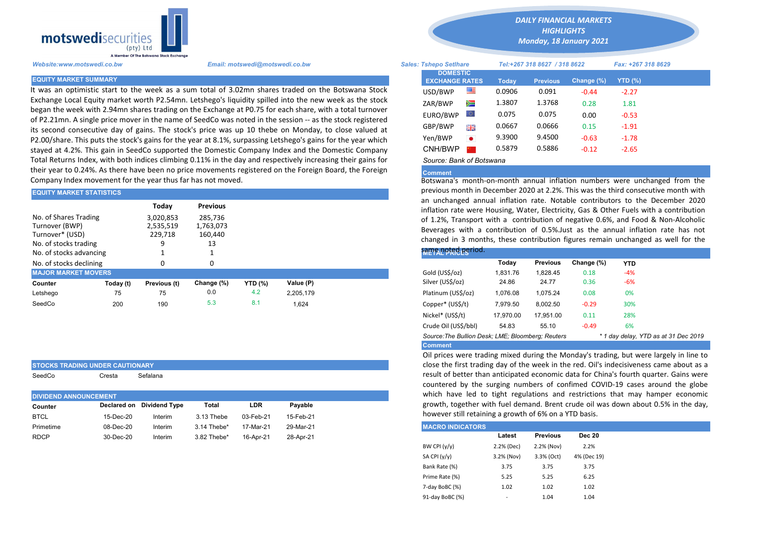

STOCKS TRADING UNDER CAUTIONARY SeedCo Cresta Sefalana

It was an optimistic start to the week as a sum total of 3.02mn shares traded on the Botswana Stock Exchange Local Equity market worth P2.54mn. Letshego's liquidity spilled into the new week as the stock began the week with 2.94mn shares trading on the Exchange at P0.75 for each share, with a total turnover of P2.21mn. A single price mover in the name of SeedCo was noted in the session -- as the stock registered its second consecutive day of gains. The stock's price was up 10 thebe on Monday, to close valued at P2.00/share. This puts the stock's gains for the year at 8.1%, surpassing Letshego's gains for the year which stayed at 4.2%. This gain in SeedCo supported the Domestic Company Index and the Domestic Company Total Returns Index, with both indices climbing 0.11% in the day and respectively increasing their gains for their year to 0.24%. As there have been no price movements registered on the Foreign Board, the Foreign Company Index movement for the year thus far has not moved.

| <b>EQUITY MARKET STATISTICS</b>                                                     |           |                                   |                                       | previous month in December 2020 at 2.2%. This was the third consect |           |  |                                                                                                                                                                                                              |          |                 |            |            |  |  |  |
|-------------------------------------------------------------------------------------|-----------|-----------------------------------|---------------------------------------|---------------------------------------------------------------------|-----------|--|--------------------------------------------------------------------------------------------------------------------------------------------------------------------------------------------------------------|----------|-----------------|------------|------------|--|--|--|
|                                                                                     |           | Today                             | <b>Previous</b>                       |                                                                     |           |  | an unchanged annual inflation rate. Notable contributors to the<br>inflation rate were Housing, Water, Electricity, Gas & Other Fuels wit                                                                    |          |                 |            |            |  |  |  |
| No. of Shares Trading<br>Turnover (BWP)<br>Turnover* (USD)<br>No. of stocks trading |           | 3,020,853<br>2,535,519<br>229.718 | 285.736<br>1,763,073<br>160.440<br>13 |                                                                     |           |  | of 1.2%, Transport with a contribution of negative 0.6%, and Food<br>Beverages with a contribution of 0.5%. Just as the annual inflation<br>changed in 3 months, these contribution figures remain unchanged |          |                 |            |            |  |  |  |
| No. of stocks advancing                                                             |           |                                   |                                       |                                                                     |           |  | same noted period.                                                                                                                                                                                           |          |                 |            |            |  |  |  |
| No. of stocks declining                                                             |           |                                   |                                       |                                                                     |           |  |                                                                                                                                                                                                              | Today    | <b>Previous</b> | Change (%) | <b>YTD</b> |  |  |  |
| <b>MAJOR MARKET MOVERS</b>                                                          |           |                                   |                                       |                                                                     |           |  | Gold (US\$/oz)                                                                                                                                                                                               | 1,831.76 | 1.828.45        | 0.18       | $-4%$      |  |  |  |
| Counter                                                                             | Today (t) | Previous (t)                      | Change (%)                            | <b>YTD (%)</b>                                                      | Value (P) |  | Silver (US\$/oz)                                                                                                                                                                                             | 24.86    | 24.77           | 0.36       | $-6%$      |  |  |  |
| Letshego                                                                            | 75        | 75                                | 0.0                                   | 4.2                                                                 | 2.205.179 |  | Platinum (US\$/oz)                                                                                                                                                                                           | 1.076.08 | 1.075.24        | 0.08       | 0%         |  |  |  |
| SeedCo                                                                              | 200       | 190                               | 5.3                                   | 8.1                                                                 | 1,624     |  | Copper* (US\$/t)                                                                                                                                                                                             | 7,979.50 | 8,002.50        | $-0.29$    | 30%        |  |  |  |

| <b>DIVIDEND ANNOUNCEMENT</b> |           |                           |             |           |           |
|------------------------------|-----------|---------------------------|-------------|-----------|-----------|
| Counter                      |           | Declared on Dividend Type | Total       | LDR       | Pavable   |
| <b>BTCL</b>                  | 15-Dec-20 | Interim                   | 3.13 Thebe  | 03-Feb-21 | 15-Feb-21 |
| Primetime                    | 08-Dec-20 | Interim                   | 3.14 Thebe* | 17-Mar-21 | 29-Mar-21 |
| <b>RDCP</b>                  | 30-Dec-20 | Interim                   | 3.82 Thebe* | 16-Apr-21 | 28-Apr-21 |

*DAILY FINANCIAL MARKETS*

*HIGHLIGHTS Monday, 18 January 2021* 

| A Member Of the Botswand Stock Exchange |                                                                                                                                                                                                                        |                               |                                          |           |                              |                 |            |                    |  |
|-----------------------------------------|------------------------------------------------------------------------------------------------------------------------------------------------------------------------------------------------------------------------|-------------------------------|------------------------------------------|-----------|------------------------------|-----------------|------------|--------------------|--|
| Website:www.motswedi.co.bw              | Email: motswedi@motswedi.co.bw                                                                                                                                                                                         | <b>Sales: Tshepo Setlhare</b> |                                          |           | Tel:+267 318 8627 / 318 8622 |                 |            | Fax: +267 318 8629 |  |
| <b>EQUITY MARKET SUMMARY</b>            |                                                                                                                                                                                                                        |                               | <b>DOMESTIC</b><br><b>EXCHANGE RATES</b> |           | <b>Today</b>                 | <b>Previous</b> | Change (%) | YTD $(\%)$         |  |
|                                         | t was an optimistic start to the week as a sum total of 3.02mn shares traded on the Botswana Stock                                                                                                                     |                               | USD/BWP                                  | 墨         | 0.0906                       | 0.091           | $-0.44$    | $-2.27$            |  |
|                                         | Exchange Local Equity market worth P2.54mn. Letshego's liquidity spilled into the new week as the stock                                                                                                                |                               | ZAR/BWP                                  | ▓         | 1.3807                       | 1.3768          | 0.28       | 1.81               |  |
|                                         | oegan the week with 2.94mn shares trading on the Exchange at P0.75 for each share, with a total turnover<br>of P2.21mn. A single price mover in the name of SeedCo was noted in the session -- as the stock registered |                               | EURO/BWP                                 | LO I      | 0.075                        | 0.075           | 0.00       | $-0.53$            |  |
|                                         | ts second consecutive day of gains. The stock's price was up 10 thebe on Monday, to close valued at                                                                                                                    |                               | GBP/BWP                                  | 開業        | 0.0667                       | 0.0666          | 0.15       | $-1.91$            |  |
|                                         | 22.00/share. This puts the stock's gains for the year at 8.1%, surpassing Letshego's gains for the year which                                                                                                          |                               | Yen/BWP                                  | $\bullet$ | 9.3900                       | 9.4500          | $-0.63$    | $-1.78$            |  |
|                                         | tayed at 4.2%. This gain in SeedCo supported the Domestic Company Index and the Domestic Company                                                                                                                       |                               | CNH/BWP                                  |           | 0.5879                       | 0.5886          | $-0.12$    | $-2.65$            |  |
|                                         | Total Returns Index, with both indices climbing 0.11% in the day and respectively increasing their gains for                                                                                                           |                               | Source: Bank of Botswana                 |           |                              |                 |            |                    |  |

## Comment

Botswana's month-on-month annual inflation numbers were unchanged from the previous month in December 2020 at 2.2%. This was the third consecutive month with an unchanged annual inflation rate. Notable contributors to the December 2020 inflation rate were Housing, Water, Electricity, Gas & Other Fuels with a contribution of 1.2%, Transport with a contribution of negative 0.6%, and Food & Non-Alcoholic Beverages with a contribution of 0.5%.Just as the annual inflation rate has not changed in 3 months, these contribution figures remain unchanged as well for the

|  | same noted period. |  |
|--|--------------------|--|
|  |                    |  |
|  |                    |  |

| -------------                                     |           |                 |            |            |                                      |  |
|---------------------------------------------------|-----------|-----------------|------------|------------|--------------------------------------|--|
|                                                   | Today     | <b>Previous</b> | Change (%) | <b>YTD</b> |                                      |  |
| Gold (US\$/oz)                                    | 1.831.76  | 1.828.45        | 0.18       | $-4%$      |                                      |  |
| Silver (US\$/oz)                                  | 24.86     | 24.77           | 0.36       | $-6%$      |                                      |  |
| Platinum (US\$/oz)                                | 1.076.08  | 1.075.24        | 0.08       | 0%         |                                      |  |
| Copper* (US\$/t)                                  | 7.979.50  | 8.002.50        | $-0.29$    | 30%        |                                      |  |
| Nickel* (US\$/t)                                  | 17,970.00 | 17.951.00       | 0.11       | 28%        |                                      |  |
| Crude Oil (US\$/bbl)                              | 54.83     | 55.10           | $-0.49$    | 6%         |                                      |  |
| Source: The Bullion Desk: LME: Bloomberg: Reuters |           |                 |            |            | * 1 day delay, YTD as at 31 Dec 2019 |  |
| <b>Comment</b>                                    |           |                 |            |            |                                      |  |

Oil prices were trading mixed during the Monday's trading, but were largely in line to close the first trading day of the week in the red. Oil's indecisiveness came about as a result of better than anticipated economic data for China's fourth quarter. Gains were countered by the surging numbers of confimed COVID-19 cases around the globe which have led to tight regulations and restrictions that may hamper economic growth, together with fuel demand. Brent crude oil was down about 0.5% in the day, however still retaining a growth of 6% on a YTD basis.

| <b>MACRO INDICATORS</b> |            |                 |               |
|-------------------------|------------|-----------------|---------------|
|                         | Latest     | <b>Previous</b> | <b>Dec 20</b> |
| BW CPI $(y/y)$          | 2.2% (Dec) | 2.2% (Nov)      | 2.2%          |
| SA CPI (y/y)            | 3.2% (Nov) | 3.3% (Oct)      | 4% (Dec 19)   |
| Bank Rate (%)           | 3.75       | 3.75            | 3.75          |
| Prime Rate (%)          | 5.25       | 5.25            | 6.25          |
| 7-day BoBC (%)          | 1.02       | 1.02            | 1.02          |
| 91-day BoBC (%)         | ٠          | 1.04            | 1.04          |